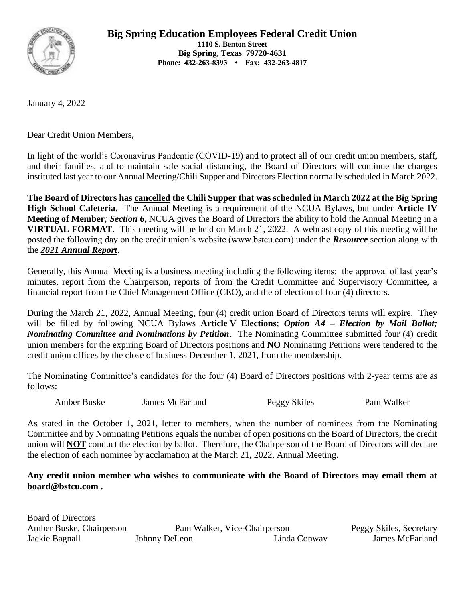

**Big Spring Education Employees Federal Credit Union**

**1110 S. Benton Street Big Spring, Texas 79720-4631 Phone: 432-263-8393 • Fax: 432-263-4817**

January 4, 2022

Dear Credit Union Members,

In light of the world's Coronavirus Pandemic (COVID-19) and to protect all of our credit union members, staff, and their families, and to maintain safe social distancing, the Board of Directors will continue the changes instituted last year to our Annual Meeting/Chili Supper and Directors Election normally scheduled in March 2022.

**The Board of Directors has cancelled the Chili Supper that was scheduled in March 2022 at the Big Spring High School Cafeteria.** The Annual Meeting is a requirement of the NCUA Bylaws, but under **Article IV Meeting of Member***; Section 6*, NCUA gives the Board of Directors the ability to hold the Annual Meeting in a **VIRTUAL FORMAT**. This meeting will be held on March 21, 2022. A webcast copy of this meeting will be posted the following day on the credit union's website (www.bstcu.com) under the *Resource* section along with the *2021 Annual Report*.

Generally, this Annual Meeting is a business meeting including the following items: the approval of last year's minutes, report from the Chairperson, reports of from the Credit Committee and Supervisory Committee, a financial report from the Chief Management Office (CEO), and the of election of four (4) directors.

During the March 21, 2022, Annual Meeting, four (4) credit union Board of Directors terms will expire. They will be filled by following NCUA Bylaws **Article V Elections**; *Option A4 – Election by Mail Ballot; Nominating Committee and Nominations by Petition*. The Nominating Committee submitted four (4) credit union members for the expiring Board of Directors positions and **NO** Nominating Petitions were tendered to the credit union offices by the close of business December 1, 2021, from the membership.

The Nominating Committee's candidates for the four (4) Board of Directors positions with 2-year terms are as follows:

Amber Buske James McFarland Peggy Skiles Pam Walker

As stated in the October 1, 2021, letter to members, when the number of nominees from the Nominating Committee and by Nominating Petitions equals the number of open positions on the Board of Directors, the credit union will **NOT** conduct the election by ballot. Therefore, the Chairperson of the Board of Directors will declare the election of each nominee by acclamation at the March 21, 2022, Annual Meeting.

**Any credit union member who wishes to communicate with the Board of Directors may email them at board@bstcu.com .**

| <b>Board of Directors</b> |               |                              |                         |
|---------------------------|---------------|------------------------------|-------------------------|
| Amber Buske, Chairperson  |               | Pam Walker, Vice-Chairperson | Peggy Skiles, Secretary |
| Jackie Bagnall            | Johnny DeLeon | Linda Conway                 | James McFarland         |